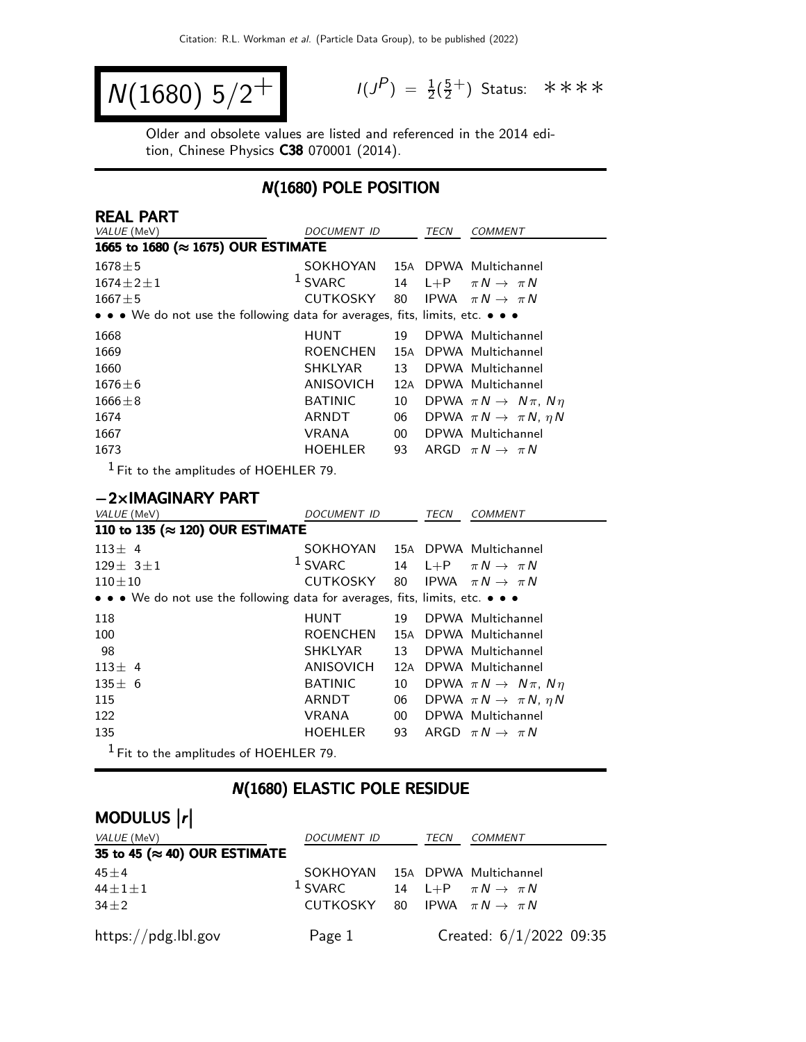$$
N(1680) 5/2^+
$$

 $P$ ) =  $\frac{1}{2}(\frac{5}{2})$  $\frac{5}{2}^+$ ) Status: \*\*\*\*

Older and obsolete values are listed and referenced in the 2014 edition, Chinese Physics C38 070001 (2014).

### N(1680) POLE POSITION

| REAL PART                                                                     |                  |        |             |                                           |  |
|-------------------------------------------------------------------------------|------------------|--------|-------------|-------------------------------------------|--|
| VALUE (MeV)                                                                   | DOCUMENT ID      |        | TECN        | <b>COMMENT</b>                            |  |
| 1665 to 1680 (≈ 1675) OUR ESTIMATE                                            |                  |        |             |                                           |  |
| $1678 + 5$                                                                    | SOKHOYAN         |        |             | 15A DPWA Multichannel                     |  |
| $1674 \pm 2 \pm 1$                                                            | $1$ SVARC        | 14     | $L + P$     | $\pi N \rightarrow \pi N$                 |  |
| $1667 + 5$                                                                    | <b>CUTKOSKY</b>  | 80     |             | IPWA $\pi N \rightarrow \pi N$            |  |
| • • • We do not use the following data for averages, fits, limits, etc. • • • |                  |        |             |                                           |  |
| 1668                                                                          | <b>HUNT</b>      | 19     |             | DPWA Multichannel                         |  |
| 1669                                                                          | <b>ROENCHEN</b>  | 15A    |             | DPWA Multichannel                         |  |
| 1660                                                                          | <b>SHKLYAR</b>   | 13     |             | DPWA Multichannel                         |  |
| $1676 \pm 6$                                                                  | ANISOVICH        |        |             | 12A DPWA Multichannel                     |  |
| $1666 \pm 8$                                                                  | <b>BATINIC</b>   | 10     |             | DPWA $\pi N \rightarrow N \pi$ , $N \eta$ |  |
| 1674                                                                          | ARNDT            | 06     |             | DPWA $\pi N \rightarrow \pi N$ , $\eta N$ |  |
| 1667                                                                          | <b>VRANA</b>     | $00\,$ |             | DPWA Multichannel                         |  |
| 1673                                                                          | HOEHLER          | 93     |             | ARGD $\pi N \rightarrow \pi N$            |  |
| $1$ Fit to the amplitudes of HOEHLER 79.                                      |                  |        |             |                                           |  |
|                                                                               |                  |        |             |                                           |  |
| $-2\times$ IMAGINARY PART                                                     |                  |        |             |                                           |  |
| VALUE (MeV)                                                                   | DOCUMENT ID      |        | <b>TECN</b> | <b>COMMENT</b>                            |  |
| 110 to 135 (≈ 120) OUR ESTIMATE                                               |                  |        |             |                                           |  |
| $113 \pm 4$                                                                   | SOKHOYAN         |        |             | 15A DPWA Multichannel                     |  |
| $129 \pm 3 \pm 1$                                                             | $1$ SVARC        | 14     | $L + P$     | $\pi N \rightarrow \pi N$                 |  |
| $110 + 10$                                                                    | <b>CUTKOSKY</b>  | 80     | <b>IPWA</b> | $\pi N \rightarrow \pi N$                 |  |
| • • • We do not use the following data for averages, fits, limits, etc. • • • |                  |        |             |                                           |  |
| 118                                                                           | <b>HUNT</b>      | 19     |             | DPWA Multichannel                         |  |
| 100                                                                           | <b>ROENCHEN</b>  |        |             | 15A DPWA Multichannel                     |  |
| 98                                                                            | <b>SHKLYAR</b>   | 13     |             | DPWA Multichannel                         |  |
| $113 \pm 4$                                                                   | <b>ANISOVICH</b> | 12A    |             | DPWA Multichannel                         |  |
| $135 \pm 6$                                                                   | <b>BATINIC</b>   | 10     |             | DPWA $\pi N \rightarrow N \pi$ , $N \eta$ |  |
| 115                                                                           | ARNDT            | 06     |             | DPWA $\pi N \rightarrow \pi N$ , $\eta N$ |  |
| 122                                                                           | <b>VRANA</b>     | $00\,$ |             | DPWA Multichannel                         |  |
| 135                                                                           | <b>HOEHLER</b>   | 93     |             | ARGD $\pi N \rightarrow \pi N$            |  |
| $^1$ Fit to the amplitudes of HOEHLER 79.                                     |                  |        |             |                                           |  |

## N(1680) ELASTIC POLE RESIDUE

# MODULUS  $\vert r \vert$

| VALUE (MeV)                           | <i>DOCUMENT ID</i>                                  | TECN | <i>COMMENT</i>            |
|---------------------------------------|-----------------------------------------------------|------|---------------------------|
| 35 to 45 ( $\approx$ 40) OUR ESTIMATE |                                                     |      |                           |
| $45 + 4$                              | SOKHOYAN 15A DPWA Multichannel                      |      |                           |
| $44 \pm 1 \pm 1$                      | <sup>1</sup> SVARC 14 L+P $\pi N \rightarrow \pi N$ |      |                           |
| $34\pm2$                              | CUTKOSKY 80 IPWA $\pi N \rightarrow \pi N$          |      |                           |
| https://pdg.lbl.gov                   | Page 1                                              |      | Created: $6/1/2022$ 09:35 |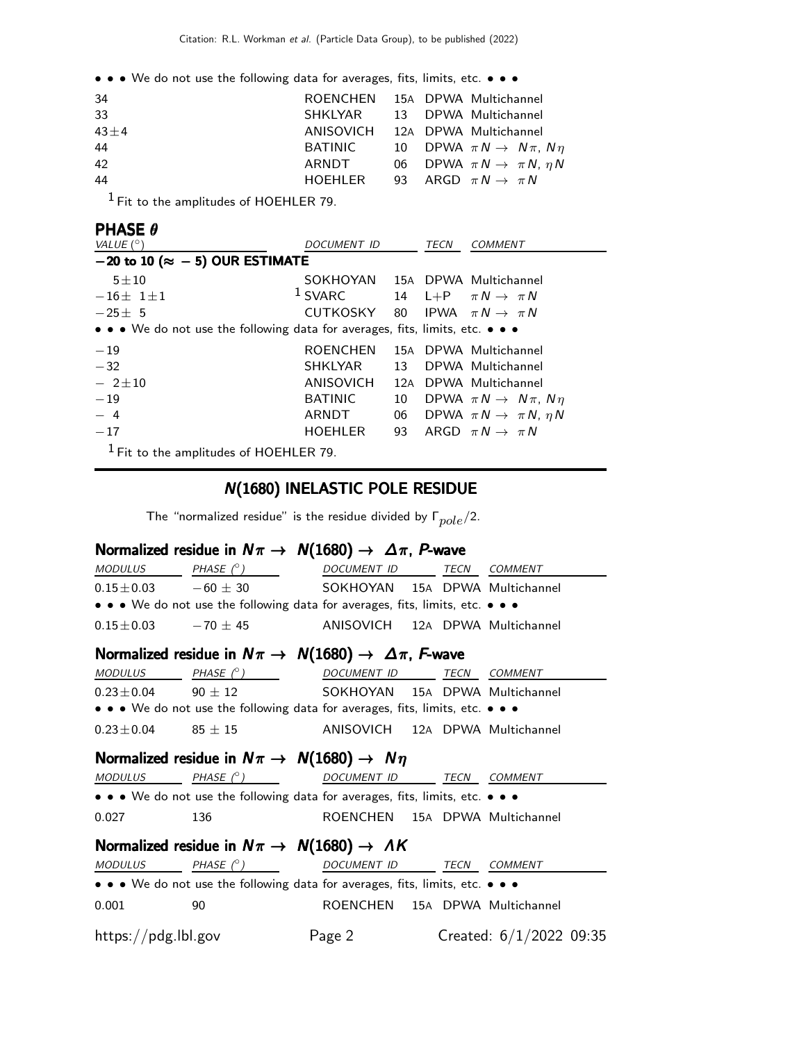| 34         | ROENCHEN 15A DPWA Multichannel            |  |                                              |
|------------|-------------------------------------------|--|----------------------------------------------|
| 33         | SHKLYAR 13 DPWA Multichannel              |  |                                              |
| $43 \pm 4$ | ANISOVICH 12A DPWA Multichannel           |  |                                              |
| 44         | BATINIC                                   |  | 10 DPWA $\pi N \rightarrow N \pi$ , $N \eta$ |
| 42         | ARNDT                                     |  | 06 DPWA $\pi N \rightarrow \pi N$ , $\eta N$ |
| 44         | HOEHLER 93 ARGD $\pi N \rightarrow \pi N$ |  |                                              |
|            |                                           |  |                                              |

1 Fit to the amplitudes of HOEHLER 79.

#### PHASE θ

| VALUE $(^\circ)$                                                              | DOCUMENT ID                                |     | TECN | <i>COMMENT</i>                            |  |  |
|-------------------------------------------------------------------------------|--------------------------------------------|-----|------|-------------------------------------------|--|--|
| $-20$ to 10 ( $\approx -5$ ) OUR ESTIMATE                                     |                                            |     |      |                                           |  |  |
| $5 \pm 10$                                                                    | SOKHOYAN 15A DPWA Multichannel             |     |      |                                           |  |  |
| $-16\pm 1\pm 1$                                                               | $1$ SVARC                                  |     |      | 14 L+P $\pi N \rightarrow \pi N$          |  |  |
| $-25+5$                                                                       | CUTKOSKY 80 IPWA $\pi N \rightarrow \pi N$ |     |      |                                           |  |  |
| • • • We do not use the following data for averages, fits, limits, etc. • • • |                                            |     |      |                                           |  |  |
| $-19$                                                                         | <b>ROENCHEN</b>                            |     |      | 15A DPWA Multichannel                     |  |  |
| $-32$                                                                         | SHKLYAR                                    | 13  |      | DPWA Multichannel                         |  |  |
| $-2 \pm 10$                                                                   | ANISOVICH                                  | 12A |      | DPWA Multichannel                         |  |  |
| $-19$                                                                         | <b>BATINIC</b>                             | 10  |      | DPWA $\pi N \rightarrow N \pi$ , $N \eta$ |  |  |
| $-4$                                                                          | ARNDT                                      | 06  |      | DPWA $\pi N \rightarrow \pi N$ , $\eta N$ |  |  |
| $-17$                                                                         | HOEHLER                                    | 93  |      | ARGD $\pi N \rightarrow \pi N$            |  |  |
| $1$ Fit to the amplitudes of HOEHLER 79.                                      |                                            |     |      |                                           |  |  |

### N(1680) INELASTIC POLE RESIDUE

The "normalized residue" is the residue divided by  $\Gamma_{pole}/2$ .

#### Normalized residue in  $N\pi\to N(1680)\to \Delta\pi$ , P-wave

| MODULUS PHASE $(^\circ)$     |                                                                               | DOCUMENT ID TECN COMMENT        |  |  |                           |  |
|------------------------------|-------------------------------------------------------------------------------|---------------------------------|--|--|---------------------------|--|
|                              | $0.15 \pm 0.03$ $-60 \pm 30$                                                  | SOKHOYAN 15A DPWA Multichannel  |  |  |                           |  |
|                              | • • • We do not use the following data for averages, fits, limits, etc. • • • |                                 |  |  |                           |  |
| $0.15 \pm 0.03$ $-70 \pm 45$ |                                                                               | ANISOVICH 12A DPWA Multichannel |  |  |                           |  |
|                              | Normalized residue in $N\pi \to N(1680) \to \Delta \pi$ , F-wave              |                                 |  |  |                           |  |
| <b>MODULUS</b>               | PHASE (°) DOCUMENT ID TECN COMMENT                                            |                                 |  |  |                           |  |
|                              | $0.23 \pm 0.04$ 90 $\pm$ 12 SOKHOYAN 15A DPWA Multichannel                    |                                 |  |  |                           |  |
|                              | • • • We do not use the following data for averages, fits, limits, etc. • • • |                                 |  |  |                           |  |
| $0.23 \pm 0.04$ 85 $\pm$ 15  |                                                                               | ANISOVICH 12A DPWA Multichannel |  |  |                           |  |
|                              | Normalized residue in $N\pi \rightarrow N(1680) \rightarrow N\eta$            |                                 |  |  |                           |  |
| MODULUS                      | PHASE (°)                                                                     | DOCUMENT ID TECN COMMENT        |  |  |                           |  |
|                              | • • • We do not use the following data for averages, fits, limits, etc. • • • |                                 |  |  |                           |  |
| 0.027                        | 136                                                                           | ROENCHEN 15A DPWA Multichannel  |  |  |                           |  |
|                              | Normalized residue in $N\pi \rightarrow N(1680) \rightarrow AK$               |                                 |  |  |                           |  |
|                              | MODULUS PHASE (°) DOCUMENT ID TECN COMMENT                                    |                                 |  |  |                           |  |
|                              | • • • We do not use the following data for averages, fits, limits, etc. • • • |                                 |  |  |                           |  |
| 0.001                        | 90                                                                            | ROENCHEN 15A DPWA Multichannel  |  |  |                           |  |
| https://pdg.lbl.gov          |                                                                               | Page 2                          |  |  | Created: $6/1/2022$ 09:35 |  |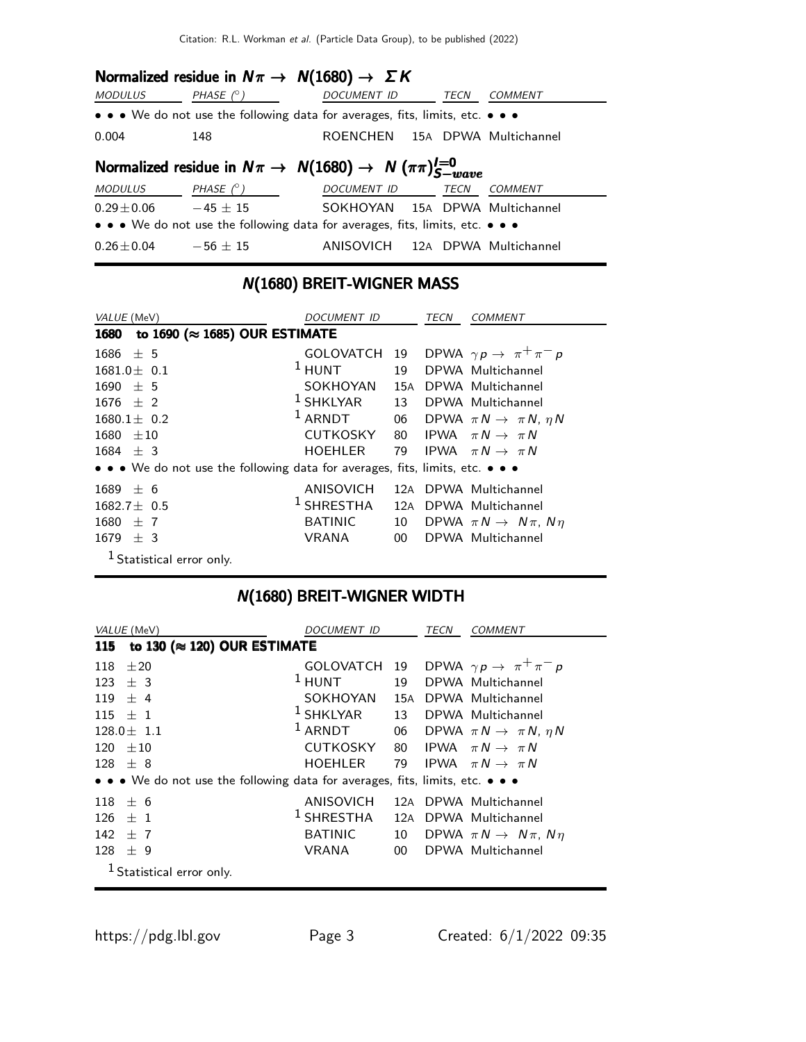Citation: R.L. Workman et al. (Particle Data Group), to be published (2022)

|                                                                       |                  | Normalized residue in $N\pi \to N(1680) \to \Sigma K$                         |             |                       |  |
|-----------------------------------------------------------------------|------------------|-------------------------------------------------------------------------------|-------------|-----------------------|--|
| <b>MODULUS</b>                                                        | PHASE $(^\circ)$ | <b>DOCUMENT ID</b>                                                            | TECN        | <b>COMMENT</b>        |  |
|                                                                       |                  | • • • We do not use the following data for averages, fits, limits, etc. • • • |             |                       |  |
| 0.004                                                                 | 148              | ROENCHEN 15A DPWA Multichannel                                                |             |                       |  |
| Normalized residue in $N\pi \to N(1680) \to N(\pi\pi)^{I=0}_{S-wave}$ |                  |                                                                               |             |                       |  |
| <b>MODULUS</b>                                                        | PHASE (° )       | DOCUMENT ID                                                                   | <b>TECN</b> | <b>COMMENT</b>        |  |
| $0.29 \pm 0.06$                                                       | $-45 + 15$       | SOKHOYAN 15A DPWA Multichannel                                                |             |                       |  |
|                                                                       |                  | • • • We do not use the following data for averages, fits, limits, etc. • • • |             |                       |  |
| $0.26 \pm 0.04$                                                       | $-56 + 15$       | ANISOVICH                                                                     |             | 12A DPWA Multichannel |  |

## N(1680) BREIT-WIGNER MASS

| VALUE (MeV)                                                                   | DOCUMENT ID      |     | TECN | <b>COMMENT</b>                               |
|-------------------------------------------------------------------------------|------------------|-----|------|----------------------------------------------|
| to 1690 ( $\approx$ 1685) OUR ESTIMATE<br>1680                                |                  |     |      |                                              |
| $1686 \pm 5$                                                                  | <b>GOLOVATCH</b> | 19  |      | DPWA $\gamma p \rightarrow \pi^+ \pi^- p$    |
| $1681.0 \pm 0.1$                                                              | $1$ HUNT         | 19  |      | DPWA Multichannel                            |
| $1690 + 5$                                                                    | SOKHOYAN         | 15A |      | DPWA Multichannel                            |
| $1676 + 2$                                                                    | $1$ SHKLYAR      | 13  |      | DPWA Multichannel                            |
| $1680.1 \pm 0.2$                                                              | $1$ ARNDT        |     |      | 06 DPWA $\pi N \rightarrow \pi N$ , $\eta N$ |
| $1680 + 10$                                                                   | CUTKOSKY         |     |      | 80 IPWA $\pi N \rightarrow \pi N$            |
| $1684 + 3$                                                                    | <b>HOEHLER</b>   | 79  |      | IPWA $\pi N \rightarrow \pi N$               |
| • • • We do not use the following data for averages, fits, limits, etc. • • • |                  |     |      |                                              |
| $1689 \pm 6$                                                                  | ANISOVICH        |     |      | 12A DPWA Multichannel                        |
| $1682.7 + 0.5$                                                                | $1$ SHRESTHA     |     |      | 12A DPWA Multichannel                        |
| $1680 \pm 7$                                                                  | <b>BATINIC</b>   | 10  |      | DPWA $\pi N \rightarrow N \pi$ , $N \eta$    |
| $1679 \pm 3$                                                                  | VRANA            | 00  |      | DPWA Multichannel                            |
| $1$ Statistical error only.                                                   |                  |     |      |                                              |

# N(1680) BREIT-WIGNER WIDTH

|           | VALUE (MeV)                                                                   | <i>DOCUMENT ID</i> |     | TECN | COMMENT                                      |
|-----------|-------------------------------------------------------------------------------|--------------------|-----|------|----------------------------------------------|
| 115       | to 130 ( $\approx$ 120) OUR ESTIMATE                                          |                    |     |      |                                              |
| 118       | ±20                                                                           | GOLOVATCH          |     |      | 19 DPWA $\gamma p \rightarrow \pi^+ \pi^- p$ |
| 123       | $+3$                                                                          | $1$ HUNT           | 19  |      | DPWA Multichannel                            |
|           | $119 + 4$                                                                     | SOKHOYAN           | 15A |      | DPWA Multichannel                            |
| $115 + 1$ |                                                                               | $1$ SHKLYAR        |     |      | 13 DPWA Multichannel                         |
|           | $128.0 \pm 1.1$                                                               | $1$ ARNDT          |     |      | 06 DPWA $\pi N \rightarrow \pi N$ , $\eta N$ |
| 120       | $+10$                                                                         | <b>CUTKOSKY</b>    |     |      | 80 IPWA $\pi N \rightarrow \pi N$            |
| $128 + 8$ |                                                                               | <b>HOEHLER</b>     | 79  |      | IPWA $\pi N \rightarrow \pi N$               |
|           | • • • We do not use the following data for averages, fits, limits, etc. • • • |                    |     |      |                                              |
| 118       | $+6$                                                                          | ANISOVICH          |     |      | 12A DPWA Multichannel                        |
| 126.      | $+1$                                                                          | $1$ SHRESTHA       |     |      | 12A DPWA Multichannel                        |
| 142       | $+7$                                                                          | <b>BATINIC</b>     |     |      | 10 DPWA $\pi N \rightarrow N \pi$ , $N \eta$ |
| 128       | ± 9                                                                           | <b>VRANA</b>       | 00  |      | DPWA Multichannel                            |
|           | $1$ Statistical error only.                                                   |                    |     |      |                                              |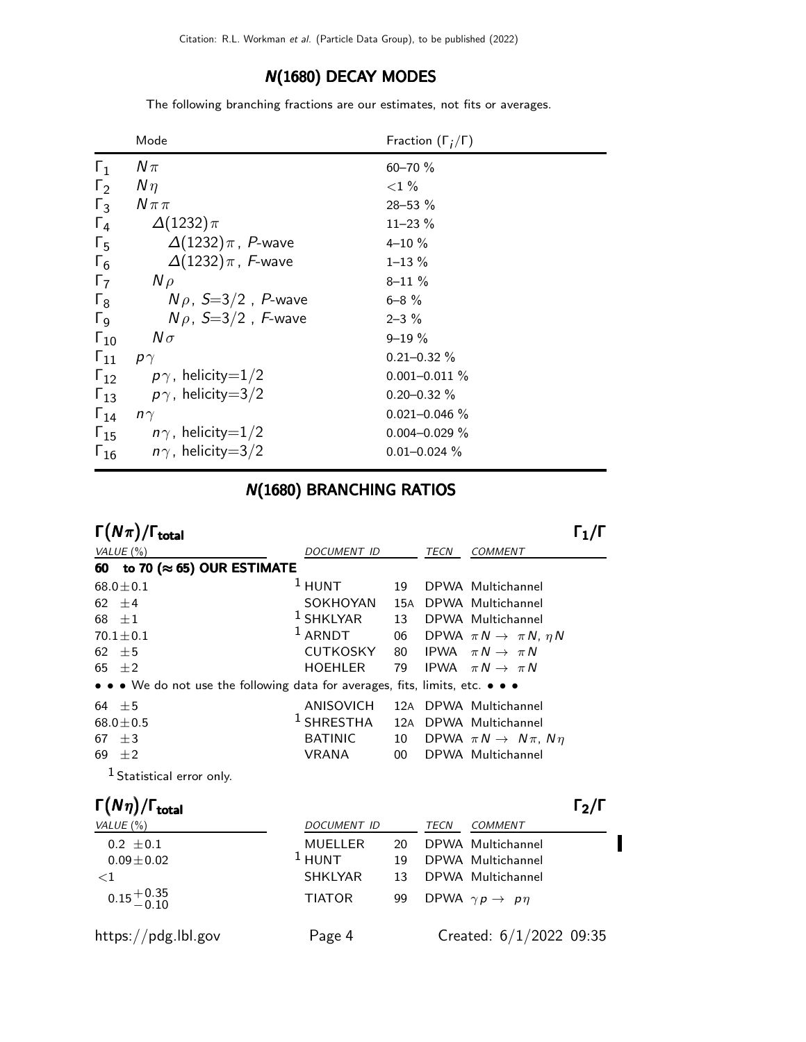## N(1680) DECAY MODES

The following branching fractions are our estimates, not fits or averages.

|                       | Mode                                   | Fraction $(\Gamma_i/\Gamma)$ |
|-----------------------|----------------------------------------|------------------------------|
| $\Gamma_1$            | $N\pi$                                 | $60 - 70 \%$                 |
| $\Gamma_2$            | $N\eta$                                | ${<}1\%$                     |
| $\Gamma_3$            | $N \pi \pi$                            | $28 - 53 \%$                 |
| $\Gamma_4$            | $\Delta(1232)\pi$                      | $11 - 23\%$                  |
| $\Gamma_{5}$          | $\Delta(1232)\pi$ , P-wave             | $4 - 10 \%$                  |
| $\Gamma_6$            | $\Delta(1232)\pi$ , F-wave             | $1 - 13 \%$                  |
| $\Gamma_7$            | $N \rho$                               | $8 - 11 \%$                  |
| $\Gamma_8$            | $N\rho$ , $S=3/2$ , P-wave             | $6 - 8 \%$                   |
| $\Gamma$ <sub>9</sub> | $N\rho$ , S=3/2, F-wave                | $2 - 3\%$                    |
| $\Gamma_{10}$         | $N\sigma$                              | $9 - 19 \%$                  |
| $\Gamma_{11}$         | $p\gamma$                              | $0.21 - 0.32 \%$             |
| $\Gamma_{12}$         | $p\gamma$ , helicity=1/2               | $0.001 - 0.011 \%$           |
| $\Gamma_{13}$         | $p\gamma$ , helicity $=3/2$            | $0.20 - 0.32 \%$             |
| $\Gamma_{14}$         | $n\gamma$                              | $0.021 - 0.046 \%$           |
|                       | $\Gamma_{15}$ $n\gamma$ , helicity=1/2 | $0.004 - 0.029 \%$           |
| $\Gamma_{16}$         | $n\gamma$ , helicity=3/2               | $0.01 - 0.024 \%$            |

## N(1680) BRANCHING RATIOS

| $\Gamma(N\pi)/\Gamma_{\rm total}$                                             |                 |     |      |                                           |  |
|-------------------------------------------------------------------------------|-----------------|-----|------|-------------------------------------------|--|
| VALUE $(\%)$                                                                  | DOCUMENT ID     |     | TECN | <b>COMMENT</b>                            |  |
| 60 to 70 ( $\approx$ 65) OUR ESTIMATE                                         |                 |     |      |                                           |  |
| $68.0 \pm 0.1$                                                                | $1$ HUNT        | 19  |      | DPWA Multichannel                         |  |
| 62 $\pm 4$                                                                    | SOKHOYAN        |     |      | 15A DPWA Multichannel                     |  |
| 68 $\pm 1$                                                                    | $1$ SHKLYAR     | 13  |      | DPWA Multichannel                         |  |
| $70.1 \pm 0.1$                                                                | $1$ ARNDT       | 06  |      | DPWA $\pi N \rightarrow \pi N$ , $\eta N$ |  |
| 62 $\pm$ 5                                                                    | <b>CUTKOSKY</b> | 80  |      | IPWA $\pi N \rightarrow \pi N$            |  |
| 65 $\pm 2$                                                                    | <b>HOEHLER</b>  | 79  |      | IPWA $\pi N \rightarrow \pi N$            |  |
| • • • We do not use the following data for averages, fits, limits, etc. • • • |                 |     |      |                                           |  |
| 64 $\pm$ 5                                                                    | ANISOVICH       |     |      | 12A DPWA Multichannel                     |  |
| $68.0 \pm 0.5$                                                                | $1$ SHRESTHA    | 12A |      | DPWA Multichannel                         |  |
| $\pm 3$<br>67                                                                 | <b>BATINIC</b>  | 10  |      | DPWA $\pi N \rightarrow N \pi$ , $N \eta$ |  |
| 69<br>$\pm 2$                                                                 | <b>VRANA</b>    | 00  |      | DPWA Multichannel                         |  |
|                                                                               |                 |     |      |                                           |  |

1 Statistical error only.

| $\Gamma(N\eta)/\Gamma_{\rm total}$ |                |    |             |                                    | $\Gamma_2/\Gamma$ |
|------------------------------------|----------------|----|-------------|------------------------------------|-------------------|
| VALUE $(\% )$                      | DOCUMENT ID    |    | <b>TECN</b> | COMMENT                            |                   |
| $0.2 \pm 0.1$                      | <b>MUELLER</b> | 20 |             | DPWA Multichannel                  |                   |
| $0.09 \pm 0.02$                    | $1$ HUNT       | 19 |             | DPWA Multichannel                  |                   |
| ${<}1$                             | <b>SHKLYAR</b> | 13 |             | DPWA Multichannel                  |                   |
| $0.15 + 0.35$<br>-0.10             | <b>TIATOR</b>  | 99 |             | DPWA $\gamma p \rightarrow p \eta$ |                   |
| https://pdg.lbl.gov                | Page 4         |    |             | Created: $6/1/2022$ 09:35          |                   |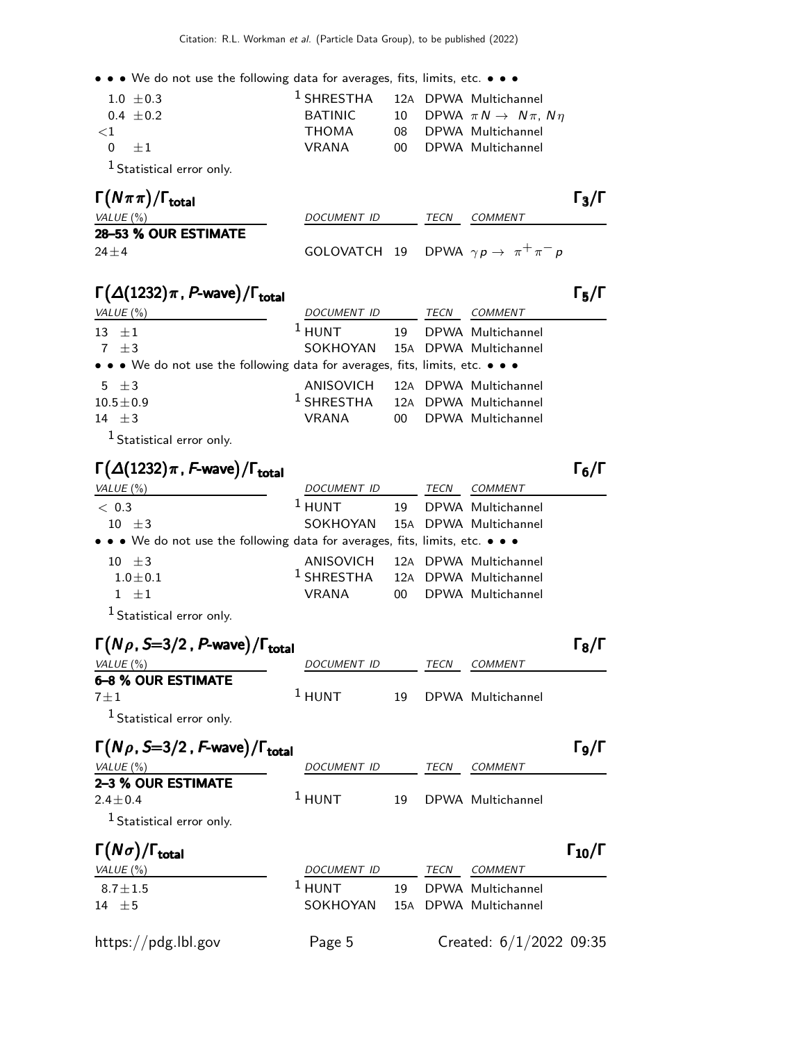| $1.0 + 0.3$                          |              | <sup>1</sup> SHRESTHA 12A DPWA Multichannel  |
|--------------------------------------|--------------|----------------------------------------------|
| $0.4 + 0.2$                          | BATINIC      | 10 DPWA $\pi N \rightarrow N \pi$ , $N \eta$ |
| ${<}1$                               | <b>THOMA</b> | 08 DPWA Multichannel                         |
| $0 + 1$                              | VRANA        | 00 DPWA Multichannel                         |
| <sup>1</sup> Statistical error only. |              |                                              |

| $\Gamma(N\pi\pi)/\Gamma_{\rm total}$ |                                                        |      | $\Gamma_3/\Gamma$ |
|--------------------------------------|--------------------------------------------------------|------|-------------------|
| VALUE (%)                            | <i>DOCUMENT ID</i>                                     | TECN | <i>COMMENT</i>    |
| 28-53 % OUR ESTIMATE                 |                                                        |      |                   |
| $24 + 4$                             | GOLOVATCH 19 DPWA $\gamma p \rightarrow \pi^+ \pi^- p$ |      |                   |

### $\Gamma(\Delta(1232)\pi$ , P-wave)/ $\Gamma_{\text{total}}$  (Γ

| VALUE (%)                                                                     | <i>DOCUMENT ID</i>                          | TECN | COMMENT              |
|-------------------------------------------------------------------------------|---------------------------------------------|------|----------------------|
| $13 + 1$                                                                      | $1$ HUNT                                    |      | 19 DPWA Multichannel |
| 7 $\pm$ 3                                                                     | SOKHOYAN 15A DPWA Multichannel              |      |                      |
| • • • We do not use the following data for averages, fits, limits, etc. • • • |                                             |      |                      |
| $5 \pm 3$                                                                     | ANISOVICH 12A DPWA Multichannel             |      |                      |
| $10.5 \pm 0.9$                                                                | <sup>1</sup> SHRESTHA 12A DPWA Multichannel |      |                      |
| $14 + 3$                                                                      | VRANA                                       |      | 00 DPWA Multichannel |
| $\mathbf{1}_{\mathbf{c}}$ and $\mathbf{r}$                                    |                                             |      |                      |

<sup>1</sup> Statistical error only.

### $\Gamma(\Delta(1232)\pi$  , F-wave) / Γ<sub>total</sub> Γ<sub>6</sub>/Γ

| VALUE $(\%)$                                                                  | DOCUMENT ID                                 | TECN | <b>COMMENT</b>        |
|-------------------------------------------------------------------------------|---------------------------------------------|------|-----------------------|
| < 0.3                                                                         | $1$ HUNT                                    |      | 19 DPWA Multichannel  |
| $10 \pm 3$                                                                    | SOKHOYAN 15A DPWA Multichannel              |      |                       |
| • • • We do not use the following data for averages, fits, limits, etc. • • • |                                             |      |                       |
| $10 \pm 3$                                                                    | ANISOVICH                                   |      | 12A DPWA Multichannel |
| $1.0 \pm 0.1$                                                                 | <sup>1</sup> SHRESTHA 12A DPWA Multichannel |      |                       |
| $1 + 1$                                                                       | VRANA                                       |      | 00 DPWA Multichannel  |
| $1 \sim 10^{-10}$                                                             |                                             |      |                       |

<sup>1</sup> Statistical error only.

| $\Gamma(N\rho, S=3/2, P$ -wave)/ $\Gamma_{\text{total}}$ |             |    |      |                   | $\Gamma_{\rm R}/\Gamma$ |
|----------------------------------------------------------|-------------|----|------|-------------------|-------------------------|
| VALUE $(\%)$                                             | DOCUMENT ID |    | TECN | COMMENT           |                         |
| <b>6-8 % OUR ESTIMATE</b>                                |             |    |      |                   |                         |
| $7 + 1$                                                  | $1$ HUNT    | 19 |      | DPWA Multichannel |                         |
| <sup>1</sup> Statistical error only.                     |             |    |      |                   |                         |

| $\Gamma(N\rho, S=3/2, F$ -wave)/ $\Gamma_{\text{total}}$ |                    |     |      |                           | Го/Г                 |
|----------------------------------------------------------|--------------------|-----|------|---------------------------|----------------------|
| VALUE $(\%)$                                             | <b>DOCUMENT ID</b> |     | TECN | COMMENT                   |                      |
| 2-3 % OUR ESTIMATE                                       |                    |     |      |                           |                      |
| $2.4 + 0.4$                                              | $1$ HUNT           | 19  |      | DPWA Multichannel         |                      |
| <sup>1</sup> Statistical error only.                     |                    |     |      |                           |                      |
| $\Gamma(N\sigma)/\Gamma_{\rm total}$                     |                    |     |      |                           | $\Gamma_{10}/\Gamma$ |
| VALUE $(\% )$                                            | <b>DOCUMENT ID</b> |     | TECN | COMMENT                   |                      |
| $8.7 \pm 1.5$                                            | $1$ HUNT           | 19  |      | DPWA Multichannel         |                      |
| $14 \pm 5$                                               | SOKHOYAN           | 15A |      | DPWA Multichannel         |                      |
| https://pdg.lbl.gov                                      | Page 5             |     |      | Created: $6/1/2022$ 09:35 |                      |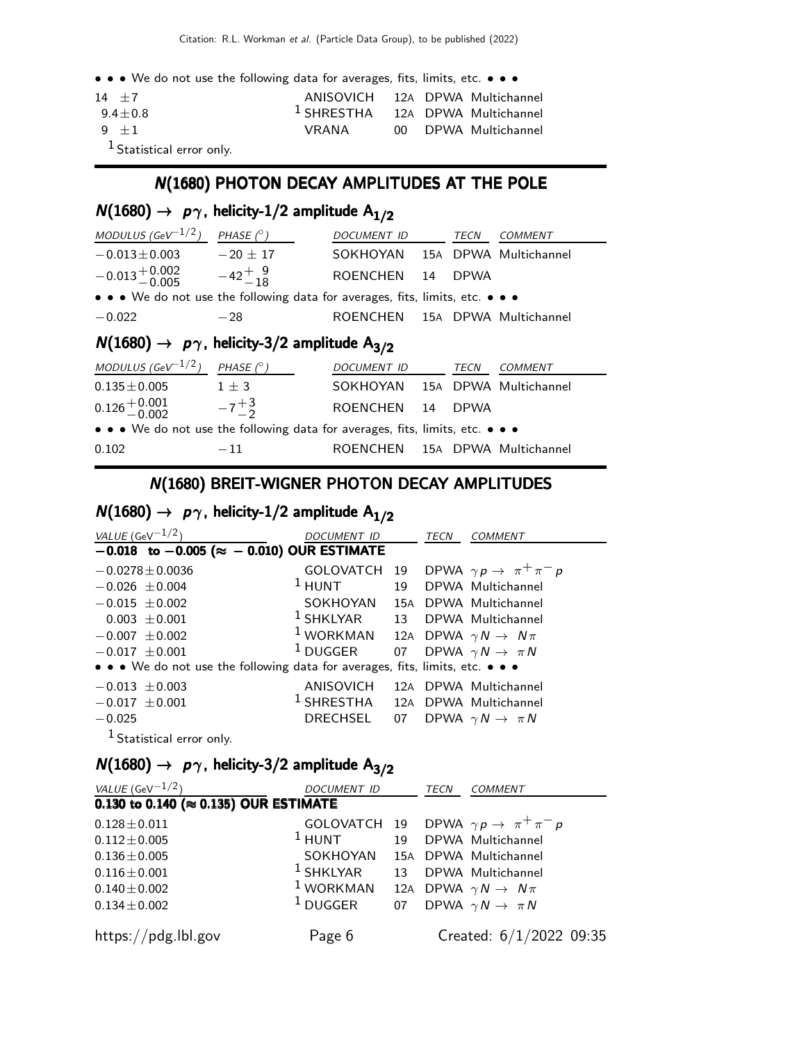| $14 + 7$                             | ANISOVICH 12A DPWA Multichannel             |  |                      |
|--------------------------------------|---------------------------------------------|--|----------------------|
| $9.4 + 0.8$                          | <sup>1</sup> SHRESTHA 12A DPWA Multichannel |  |                      |
| $9 + 1$                              | VRANA                                       |  | 00 DPWA Multichannel |
| <sup>1</sup> Statistical error only. |                                             |  |                      |

### N(1680) PHOTON DECAY AMPLITUDES AT THE POLE

## $N(1680) \rightarrow p\gamma$ , helicity-1/2 amplitude A<sub>1/2</sub>

| MODULUS (GeV <sup>-1/2</sup> )                                                | PHASE $(^\circ)$ | DOCUMENT ID                    |  | TECN        | <i>COMMENT</i> |  |
|-------------------------------------------------------------------------------|------------------|--------------------------------|--|-------------|----------------|--|
| $-0.013 \pm 0.003$                                                            | $-20 \pm 17$     | SOKHOYAN 15A DPWA Multichannel |  |             |                |  |
| $-0.013 + 0.002 -42 + 9$<br>$-42 + 9$                                         |                  | ROENCHEN 14                    |  | <b>DPWA</b> |                |  |
| • • • We do not use the following data for averages, fits, limits, etc. • • • |                  |                                |  |             |                |  |
| $-0.022$                                                                      | $-28$            | ROENCHEN 15A DPWA Multichannel |  |             |                |  |
| $N(1680) \rightarrow p\gamma$ , helicity-3/2 amplitude A <sub>3/2</sub>       |                  |                                |  |             |                |  |

| MODULUS (GeV <sup>-1/2</sup> )                                                | PHASE $(^\circ)$ | DOCUMENT ID                    | <i>TECN</i> | <i>COMMENT</i> |
|-------------------------------------------------------------------------------|------------------|--------------------------------|-------------|----------------|
| $0.135 \pm 0.005$                                                             | $1 + 3$          | SOKHOYAN 15A DPWA Multichannel |             |                |
| $0.126 + 0.001$<br>$- 0.002$                                                  | $-7^{+3}$        | ROENCHEN 14 DPWA               |             |                |
| • • • We do not use the following data for averages, fits, limits, etc. • • • |                  |                                |             |                |
| 0.102                                                                         | $-11$            | ROENCHEN 15A DPWA Multichannel |             |                |

### N(1680) BREIT-WIGNER PHOTON DECAY AMPLITUDES

## $N(1680) \rightarrow p\gamma$ , helicity-1/2 amplitude A<sub>1/2</sub>

| VALUE (GeV $^{-1/2}$ )                                                        | DOCUMENT ID |  | TECN<br>COMMENT                                           |  |  |  |  |
|-------------------------------------------------------------------------------|-------------|--|-----------------------------------------------------------|--|--|--|--|
| $-0.018$ to $-0.005$ ( $\approx -0.010$ ) OUR ESTIMATE                        |             |  |                                                           |  |  |  |  |
| $-0.0278 \pm 0.0036$                                                          |             |  | GOLOVATCH 19 DPWA $\gamma p \rightarrow \pi^+ \pi^- p$    |  |  |  |  |
| $-0.026 \pm 0.004$                                                            |             |  | <sup>1</sup> HUNT 19 DPWA Multichannel                    |  |  |  |  |
| $-0.015 \pm 0.002$                                                            |             |  | SOKHOYAN 15A DPWA Multichannel                            |  |  |  |  |
| $0.003 + 0.001$                                                               |             |  | <sup>1</sup> SHKLYAR 13 DPWA Multichannel                 |  |  |  |  |
| $-0.007 \pm 0.002$                                                            |             |  | <sup>1</sup> WORKMAN 12A DPWA $\gamma N \rightarrow N\pi$ |  |  |  |  |
| $-0.017 \pm 0.001$                                                            |             |  | <sup>1</sup> DUGGER 07 DPWA $\gamma N \to \pi N$          |  |  |  |  |
| • • • We do not use the following data for averages, fits, limits, etc. • • • |             |  |                                                           |  |  |  |  |
| $-0.013 \pm 0.003$                                                            |             |  | ANISOVICH 12A DPWA Multichannel                           |  |  |  |  |
| $-0.017 \pm 0.001$                                                            |             |  | <sup>1</sup> SHRESTHA 12A DPWA Multichannel               |  |  |  |  |
| $-0.025$                                                                      | DRECHSEL    |  | 07 DPWA $\gamma N \to \pi N$                              |  |  |  |  |
| <sup>1</sup> Statistical error only.                                          |             |  |                                                           |  |  |  |  |

## $N(1680) \rightarrow p\gamma$ , helicity-3/2 amplitude A<sub>3/2</sub>

| VALUE (GeV $-1/2$ ) |                                                  | <b>DOCUMENT ID</b>                        | <b>TECN</b> | <b>COMMENT</b>                                 |
|---------------------|--------------------------------------------------|-------------------------------------------|-------------|------------------------------------------------|
|                     | $0.130$ to 0.140 ( $\approx$ 0.135) OUR ESTIMATE |                                           |             |                                                |
| $0.128 \pm 0.011$   |                                                  |                                           |             | GOLOVATCH 19 DPWA $\gamma p \to \pi^+ \pi^- p$ |
| $0.112 \pm 0.005$   |                                                  | $1$ HUNT                                  |             | 19 DPWA Multichannel                           |
| $0.136 \pm 0.005$   |                                                  | SOKHOYAN                                  |             | 15A DPWA Multichannel                          |
| $0.116 \pm 0.001$   |                                                  | <sup>1</sup> SHKLYAR 13 DPWA Multichannel |             |                                                |
| $0.140 \pm 0.002$   |                                                  | $1$ WORKMAN                               |             | 12A DPWA $\gamma N \rightarrow N \pi$          |
| $0.134 \pm 0.002$   |                                                  | $^1$ DUGGER                               |             | 07 DPWA $\gamma N \to \pi N$                   |
| https://pdg.lbl.gov |                                                  | Page 6                                    |             | Created: $6/1/2022$ 09:35                      |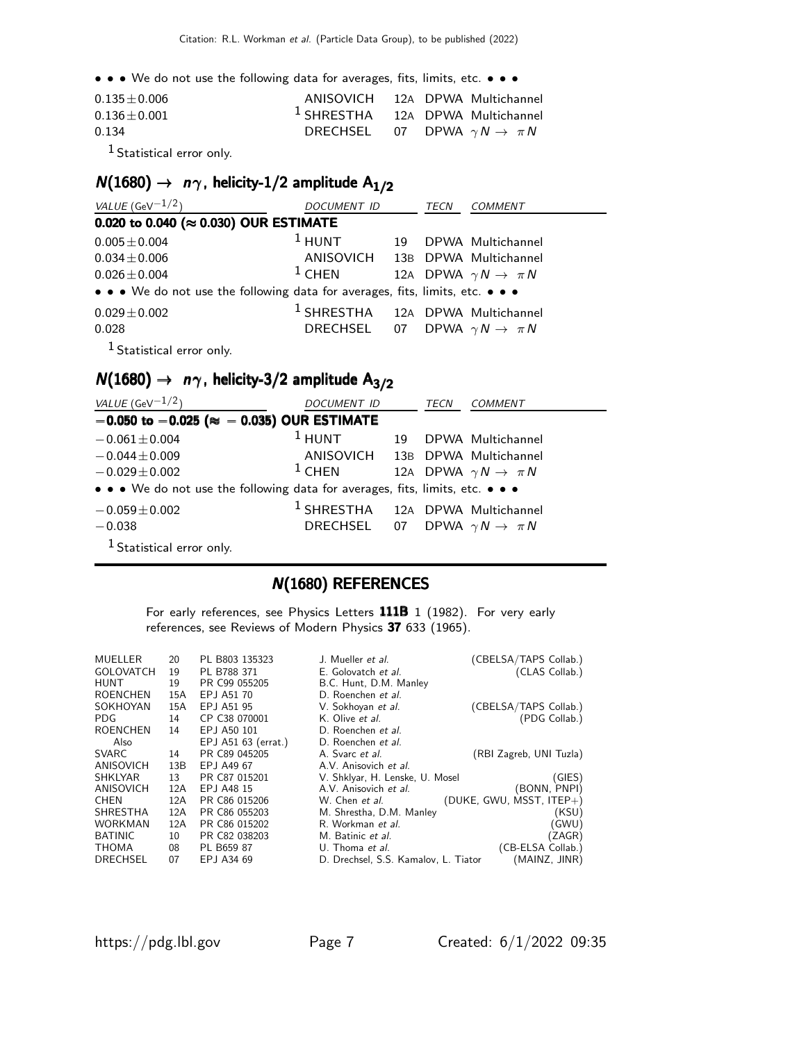| $0.135 \pm 0.006$ | ANISOVICH 12A DPWA Multichannel             |  |  |
|-------------------|---------------------------------------------|--|--|
| $0.136 \pm 0.001$ | <sup>1</sup> SHRESTHA 12A DPWA Multichannel |  |  |
| 0.134             | DRECHSEL 07 DPWA $\gamma N \to \pi N$       |  |  |
| $\sim$ 1          |                                             |  |  |

1 Statistical error only.

## $N(1680) \rightarrow n\gamma$ , helicity-1/2 amplitude A<sub>1/2</sub>

| VALUE (GeV $^{-1/2}$ )                                                        | <i>DOCUMENT ID</i>                          |    | TECN | <i>COMMENT</i>                        |  |  |
|-------------------------------------------------------------------------------|---------------------------------------------|----|------|---------------------------------------|--|--|
| 0.020 to 0.040 ( $\approx$ 0.030) OUR ESTIMATE                                |                                             |    |      |                                       |  |  |
| $0.005 \pm 0.004$                                                             | $1$ HUNT                                    | 19 |      | DPWA Multichannel                     |  |  |
| $0.034 \pm 0.006$                                                             | ANISOVICH 13B DPWA Multichannel             |    |      |                                       |  |  |
| $0.026 \pm 0.004$                                                             | $1$ CHEN                                    |    |      | 12A DPWA $\gamma N \rightarrow \pi N$ |  |  |
| • • • We do not use the following data for averages, fits, limits, etc. • • • |                                             |    |      |                                       |  |  |
| $0.029 \pm 0.002$                                                             | <sup>1</sup> SHRESTHA 12A DPWA Multichannel |    |      |                                       |  |  |
| 0.028                                                                         | DRECHSEL 07 DPWA $\gamma N \to \pi N$       |    |      |                                       |  |  |
| <sup>1</sup> Statistical error only.                                          |                                             |    |      |                                       |  |  |

## $N(1680) \rightarrow n\gamma$ , helicity-3/2 amplitude A<sub>3/2</sub>

| VALUE (GeV $-1/2$ )                                                           | DOCUMENT ID                                 |    | TECN | <b>COMMENT</b>                        |  |  |  |  |  |
|-------------------------------------------------------------------------------|---------------------------------------------|----|------|---------------------------------------|--|--|--|--|--|
| $-0.050$ to $-0.025$ ( $\approx -0.035$ ) OUR ESTIMATE                        |                                             |    |      |                                       |  |  |  |  |  |
| $-0.061 \pm 0.004$                                                            | $1$ HUNT                                    | 19 |      | DPWA Multichannel                     |  |  |  |  |  |
| $-0.044 \pm 0.009$                                                            | ANISOVICH 13B DPWA Multichannel             |    |      |                                       |  |  |  |  |  |
| $-0.029 \pm 0.002$                                                            | $1$ CHEN                                    |    |      | 12A DPWA $\gamma N \rightarrow \pi N$ |  |  |  |  |  |
| • • • We do not use the following data for averages, fits, limits, etc. • • • |                                             |    |      |                                       |  |  |  |  |  |
| $-0.059 \pm 0.002$                                                            | <sup>1</sup> SHRESTHA 12A DPWA Multichannel |    |      |                                       |  |  |  |  |  |
| $-0.038$                                                                      | DRECHSEL 07 DPWA $\gamma N \to \pi N$       |    |      |                                       |  |  |  |  |  |
| <sup>1</sup> Statistical error only.                                          |                                             |    |      |                                       |  |  |  |  |  |

#### N(1680) REFERENCES

For early references, see Physics Letters 111B 1 (1982). For very early references, see Reviews of Modern Physics 37 633 (1965).

| MUELLER<br><b>GOLOVATCH</b><br><b>HUNT</b> | 20<br>19<br>19 | PL B803 135323<br>PL B788 371<br>PR C99 055205 | J. Mueller et al.<br>E. Golovatch et al.<br>B.C. Hunt, D.M. Manley | (CBELSA/TAPS Collab.)<br>(CLAS Collab.) |
|--------------------------------------------|----------------|------------------------------------------------|--------------------------------------------------------------------|-----------------------------------------|
| ROENCHEN                                   | 15A            | EPJ A51 70                                     | D. Roenchen et al.                                                 |                                         |
| SOKHOYAN                                   | 15A            | EPJ A51 95                                     | V. Sokhoyan et al.                                                 | (CBELSA/TAPS Collab.)                   |
| <b>PDG</b>                                 | 14             | CP C38 070001                                  | K. Olive <i>et al.</i>                                             | (PDG Collab.)                           |
| ROENCHEN                                   | 14             | EPJ A50 101                                    | D. Roenchen et al.                                                 |                                         |
| Also                                       |                | EPJ A51 63 (errat.)                            | D. Roenchen et al.                                                 |                                         |
| SVARC                                      | 14             | PR C89 045205                                  | A. Svarc <i>et al.</i>                                             | (RBI Zagreb, UNI Tuzla)                 |
| ANISOVICH                                  | 13B            | EPJ A49 67                                     | A.V. Anisovich et al.                                              |                                         |
| <b>SHKLYAR</b>                             | 13             | PR C87 015201                                  | V. Shklyar, H. Lenske, U. Mosel                                    | (GIES)                                  |
| ANISOVICH                                  | 12A            | EPJ A48 15                                     | A.V. Anisovich et al.                                              | (BONN, PNPI)                            |
| <b>CHEN</b>                                | 12A            | PR C86 015206                                  | W. Chen <i>et al.</i>                                              | (DUKE, GWU, MSST, ITEP+)                |
| SHRESTHA                                   | 12A            | PR C86 055203                                  | M. Shrestha, D.M. Manley                                           | (KSU)                                   |
| <b>WORKMAN</b>                             | 12A            | PR C86 015202                                  | R. Workman et al.                                                  | (GWU)                                   |
| <b>BATINIC</b>                             | 10             | PR C82 038203                                  | M. Batinic et al.                                                  | (ZAGR)                                  |
| <b>THOMA</b>                               | 08             | PL B659 87                                     | U. Thoma et al.                                                    | (CB-ELSA Collab.)                       |
| <b>DRECHSEL</b>                            | 07             | EPJ A34 69                                     | D. Drechsel, S.S. Kamalov, L. Tiator                               | (MAINZ, JINR)                           |